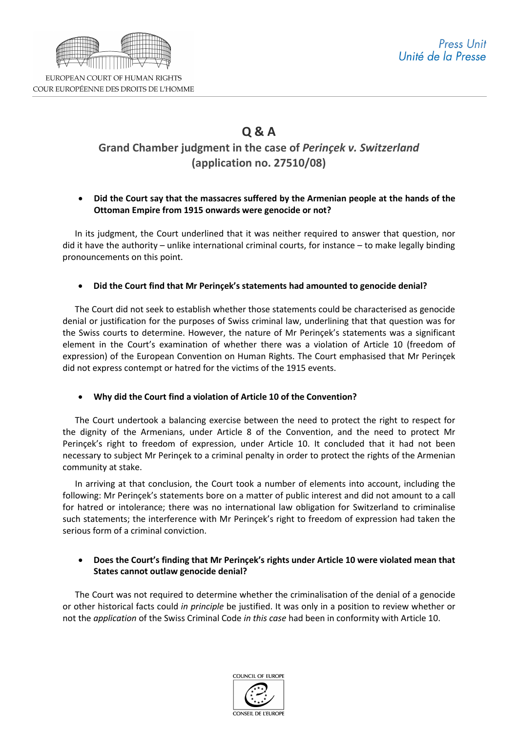

COUR EUROPÉENNE DES DROITS DE L'HOMME

# **Q & A Grand Chamber judgment in the case of** *Perinçek v. Switzerland* **(application no. 27510/08)**

## • **Did the Court say that the massacres suffered by the Armenian people at the hands of the Ottoman Empire from 1915 onwards were genocide or not?**

In its judgment, the Court underlined that it was neither required to answer that question, nor did it have the authority – unlike international criminal courts, for instance – to make legally binding pronouncements on this point.

### • **Did the Court find that Mr Perinçek's statements had amounted to genocide denial?**

The Court did not seek to establish whether those statements could be characterised as genocide denial or justification for the purposes of Swiss criminal law, underlining that that question was for the Swiss courts to determine. However, the nature of Mr Perinçek's statements was a significant element in the Court's examination of whether there was a violation of Article 10 (freedom of expression) of the European Convention on Human Rights. The Court emphasised that Mr Perinçek did not express contempt or hatred for the victims of the 1915 events.

### • **Why did the Court find a violation of Article 10 of the Convention?**

The Court undertook a balancing exercise between the need to protect the right to respect for the dignity of the Armenians, under Article 8 of the Convention, and the need to protect Mr Perinçek's right to freedom of expression, under Article 10. It concluded that it had not been necessary to subject Mr Perinçek to a criminal penalty in order to protect the rights of the Armenian community at stake.

In arriving at that conclusion, the Court took a number of elements into account, including the following: Mr Perinçek's statements bore on a matter of public interest and did not amount to a call for hatred or intolerance; there was no international law obligation for Switzerland to criminalise such statements; the interference with Mr Perinçek's right to freedom of expression had taken the serious form of a criminal conviction.

### • **Does the Court's finding that Mr Perinçek's rights under Article 10 were violated mean that States cannot outlaw genocide denial?**

The Court was not required to determine whether the criminalisation of the denial of a genocide or other historical facts could *in principle* be justified. It was only in a position to review whether or not the *application* of the Swiss Criminal Code *in this case* had been in conformity with Article 10.